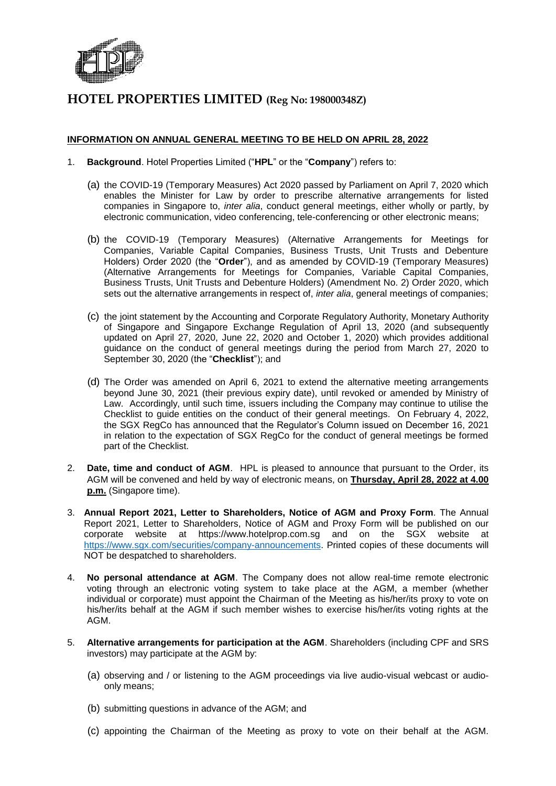

#### **INFORMATION ON ANNUAL GENERAL MEETING TO BE HELD ON APRIL 28, 2022**

- 1. **Background**. Hotel Properties Limited ("**HPL**" or the "**Company**") refers to:
	- (a) the COVID-19 (Temporary Measures) Act 2020 passed by Parliament on April 7, 2020 which enables the Minister for Law by order to prescribe alternative arrangements for listed companies in Singapore to, *inter alia*, conduct general meetings, either wholly or partly, by electronic communication, video conferencing, tele-conferencing or other electronic means;
	- (b) the COVID-19 (Temporary Measures) (Alternative Arrangements for Meetings for Companies, Variable Capital Companies, Business Trusts, Unit Trusts and Debenture Holders) Order 2020 (the "**Order**"), and as amended by COVID-19 (Temporary Measures) (Alternative Arrangements for Meetings for Companies, Variable Capital Companies, Business Trusts, Unit Trusts and Debenture Holders) (Amendment No. 2) Order 2020, which sets out the alternative arrangements in respect of, *inter alia*, general meetings of companies;
	- (c) the joint statement by the Accounting and Corporate Regulatory Authority, Monetary Authority of Singapore and Singapore Exchange Regulation of April 13, 2020 (and subsequently updated on April 27, 2020, June 22, 2020 and October 1, 2020) which provides additional guidance on the conduct of general meetings during the period from March 27, 2020 to September 30, 2020 (the "**Checklist**"); and
	- (d) The Order was amended on April 6, 2021 to extend the alternative meeting arrangements beyond June 30, 2021 (their previous expiry date), until revoked or amended by Ministry of Law. Accordingly, until such time, issuers including the Company may continue to utilise the Checklist to guide entities on the conduct of their general meetings. On February 4, 2022, the SGX RegCo has announced that the Regulator's Column issued on December 16, 2021 in relation to the expectation of SGX RegCo for the conduct of general meetings be formed part of the Checklist.
- 2. **Date, time and conduct of AGM**. HPL is pleased to announce that pursuant to the Order, its AGM will be convened and held by way of electronic means, on **Thursday, April 28, 2022 at 4.00 p.m.** (Singapore time).
- 3. **Annual Report 2021, Letter to Shareholders, Notice of AGM and Proxy Form**. The Annual Report 2021, Letter to Shareholders, Notice of AGM and Proxy Form will be published on our corporate website at https://www.hotelprop.com.sg and on the SGX website at [https://www.sgx.com/securities/company-announcements.](https://www.sgx.com/securities/company-announcements) Printed copies of these documents will NOT be despatched to shareholders.
- 4. **No personal attendance at AGM**. The Company does not allow real-time remote electronic voting through an electronic voting system to take place at the AGM, a member (whether individual or corporate) must appoint the Chairman of the Meeting as his/her/its proxy to vote on his/her/its behalf at the AGM if such member wishes to exercise his/her/its voting rights at the AGM.
- 5. **Alternative arrangements for participation at the AGM**. Shareholders (including CPF and SRS investors) may participate at the AGM by:
	- (a) observing and / or listening to the AGM proceedings via live audio-visual webcast or audioonly means;
	- (b) submitting questions in advance of the AGM; and
	- (c) appointing the Chairman of the Meeting as proxy to vote on their behalf at the AGM.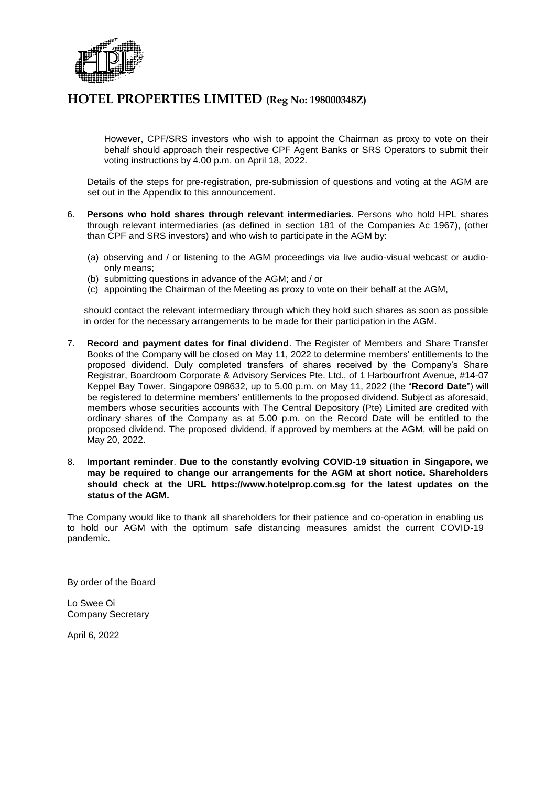

However, CPF/SRS investors who wish to appoint the Chairman as proxy to vote on their behalf should approach their respective CPF Agent Banks or SRS Operators to submit their voting instructions by 4.00 p.m. on April 18, 2022.

Details of the steps for pre-registration, pre-submission of questions and voting at the AGM are set out in the Appendix to this announcement.

- 6. **Persons who hold shares through relevant intermediaries**. Persons who hold HPL shares through relevant intermediaries (as defined in section 181 of the Companies Ac 1967), (other than CPF and SRS investors) and who wish to participate in the AGM by:
	- (a) observing and / or listening to the AGM proceedings via live audio-visual webcast or audioonly means;
	- (b) submitting questions in advance of the AGM; and / or
	- (c) appointing the Chairman of the Meeting as proxy to vote on their behalf at the AGM,

should contact the relevant intermediary through which they hold such shares as soon as possible in order for the necessary arrangements to be made for their participation in the AGM.

- 7. **Record and payment dates for final dividend**. The Register of Members and Share Transfer Books of the Company will be closed on May 11, 2022 to determine members' entitlements to the proposed dividend. Duly completed transfers of shares received by the Company's Share Registrar, Boardroom Corporate & Advisory Services Pte. Ltd., of 1 Harbourfront Avenue, #14-07 Keppel Bay Tower, Singapore 098632, up to 5.00 p.m. on May 11, 2022 (the "**Record Date**") will be registered to determine members' entitlements to the proposed dividend. Subject as aforesaid, members whose securities accounts with The Central Depository (Pte) Limited are credited with ordinary shares of the Company as at 5.00 p.m. on the Record Date will be entitled to the proposed dividend. The proposed dividend, if approved by members at the AGM, will be paid on May 20, 2022.
- 8. **Important reminder**. **Due to the constantly evolving COVID-19 situation in Singapore, we may be required to change our arrangements for the AGM at short notice. Shareholders should check at the URL https://www.hotelprop.com.sg for the latest updates on the status of the AGM.**

The Company would like to thank all shareholders for their patience and co-operation in enabling us to hold our AGM with the optimum safe distancing measures amidst the current COVID-19 pandemic.

By order of the Board

Lo Swee Oi Company Secretary

April 6, 2022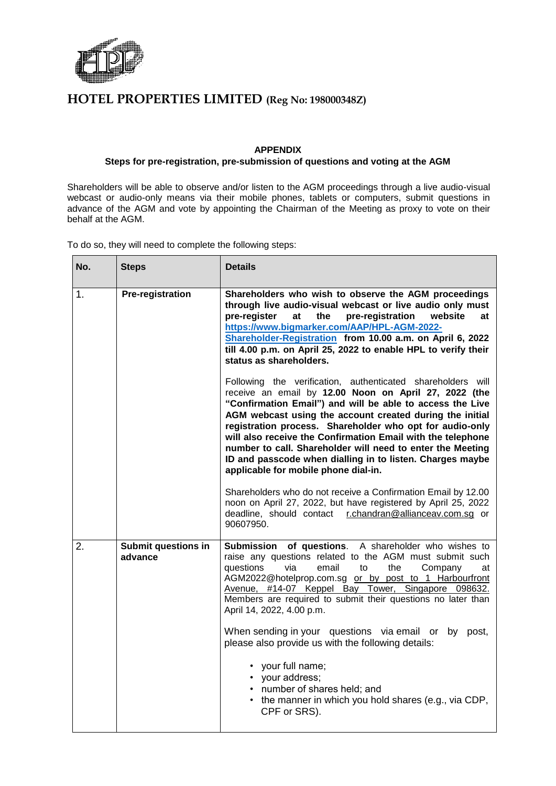

#### **APPENDIX**

#### **Steps for pre-registration, pre-submission of questions and voting at the AGM**

Shareholders will be able to observe and/or listen to the AGM proceedings through a live audio-visual webcast or audio-only means via their mobile phones, tablets or computers, submit questions in advance of the AGM and vote by appointing the Chairman of the Meeting as proxy to vote on their behalf at the AGM.

To do so, they will need to complete the following steps:

| No. | <b>Steps</b>                          | <b>Details</b>                                                                                                                                                                                                                                                                                                                                                                                                                                                                                                                              |
|-----|---------------------------------------|---------------------------------------------------------------------------------------------------------------------------------------------------------------------------------------------------------------------------------------------------------------------------------------------------------------------------------------------------------------------------------------------------------------------------------------------------------------------------------------------------------------------------------------------|
| 1.  | <b>Pre-registration</b>               | Shareholders who wish to observe the AGM proceedings<br>through live audio-visual webcast or live audio only must<br>pre-register<br>at<br>the<br>pre-registration<br>website<br>at<br>https://www.bigmarker.com/AAP/HPL-AGM-2022-<br>Shareholder-Registration from 10.00 a.m. on April 6, 2022<br>till 4.00 p.m. on April 25, 2022 to enable HPL to verify their<br>status as shareholders.                                                                                                                                                |
|     |                                       | Following the verification, authenticated shareholders will<br>receive an email by 12.00 Noon on April 27, 2022 (the<br>"Confirmation Email") and will be able to access the Live<br>AGM webcast using the account created during the initial<br>registration process. Shareholder who opt for audio-only<br>will also receive the Confirmation Email with the telephone<br>number to call. Shareholder will need to enter the Meeting<br>ID and passcode when dialling in to listen. Charges maybe<br>applicable for mobile phone dial-in. |
|     |                                       | Shareholders who do not receive a Confirmation Email by 12.00<br>noon on April 27, 2022, but have registered by April 25, 2022<br>deadline, should contact r.chandran@allianceav.com.sq or<br>90607950.                                                                                                                                                                                                                                                                                                                                     |
| 2.  | <b>Submit questions in</b><br>advance | Submission of questions. A shareholder who wishes to<br>raise any questions related to the AGM must submit such<br>questions<br>via<br>email<br>the<br>to<br>Company<br>at<br>AGM2022@hotelprop.com.sg or by post to 1 Harbourfront<br>Avenue, #14-07 Keppel Bay Tower, Singapore 098632.<br>Members are required to submit their questions no later than<br>April 14, 2022, 4.00 p.m.                                                                                                                                                      |
|     |                                       | When sending in your questions via email or by post,<br>please also provide us with the following details:                                                                                                                                                                                                                                                                                                                                                                                                                                  |
|     |                                       | • your full name;<br>• your address;<br>• number of shares held; and<br>• the manner in which you hold shares (e.g., via CDP,<br>CPF or SRS).                                                                                                                                                                                                                                                                                                                                                                                               |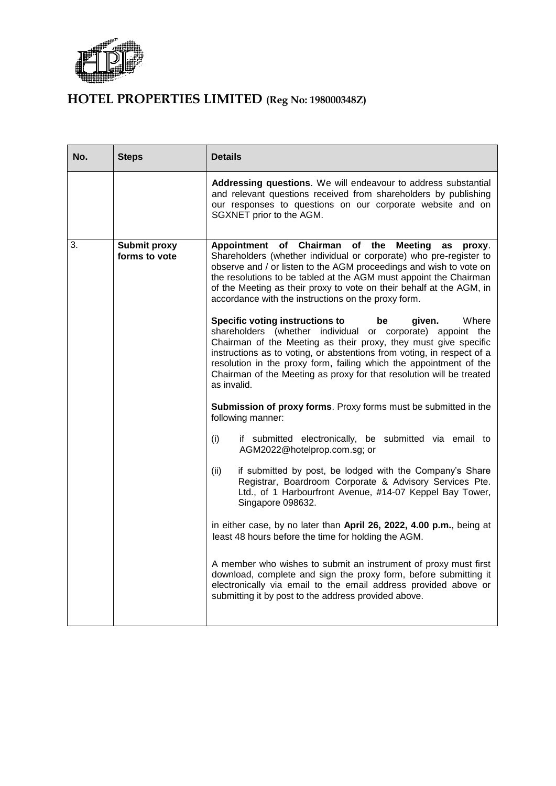

| No. | <b>Steps</b>                  | <b>Details</b>                                                                                                                                                                                                                                                                                                                                                                                                                          |
|-----|-------------------------------|-----------------------------------------------------------------------------------------------------------------------------------------------------------------------------------------------------------------------------------------------------------------------------------------------------------------------------------------------------------------------------------------------------------------------------------------|
|     |                               | Addressing questions. We will endeavour to address substantial<br>and relevant questions received from shareholders by publishing<br>our responses to questions on our corporate website and on<br>SGXNET prior to the AGM.                                                                                                                                                                                                             |
| 3.  | Submit proxy<br>forms to vote | Appointment of Chairman of the Meeting<br>as<br>proxy.<br>Shareholders (whether individual or corporate) who pre-register to<br>observe and / or listen to the AGM proceedings and wish to vote on<br>the resolutions to be tabled at the AGM must appoint the Chairman<br>of the Meeting as their proxy to vote on their behalf at the AGM, in<br>accordance with the instructions on the proxy form.                                  |
|     |                               | <b>Specific voting instructions to</b><br>Where<br>given.<br>be<br>shareholders (whether individual or corporate) appoint the<br>Chairman of the Meeting as their proxy, they must give specific<br>instructions as to voting, or abstentions from voting, in respect of a<br>resolution in the proxy form, failing which the appointment of the<br>Chairman of the Meeting as proxy for that resolution will be treated<br>as invalid. |
|     |                               | Submission of proxy forms. Proxy forms must be submitted in the<br>following manner:                                                                                                                                                                                                                                                                                                                                                    |
|     |                               | (i)<br>if submitted electronically, be submitted via email to<br>AGM2022@hotelprop.com.sg; or                                                                                                                                                                                                                                                                                                                                           |
|     |                               | if submitted by post, be lodged with the Company's Share<br>(ii)<br>Registrar, Boardroom Corporate & Advisory Services Pte.<br>Ltd., of 1 Harbourfront Avenue, #14-07 Keppel Bay Tower,<br>Singapore 098632.                                                                                                                                                                                                                            |
|     |                               | in either case, by no later than April 26, 2022, 4.00 p.m., being at<br>least 48 hours before the time for holding the AGM.                                                                                                                                                                                                                                                                                                             |
|     |                               | A member who wishes to submit an instrument of proxy must first<br>download, complete and sign the proxy form, before submitting it<br>electronically via email to the email address provided above or<br>submitting it by post to the address provided above.                                                                                                                                                                          |